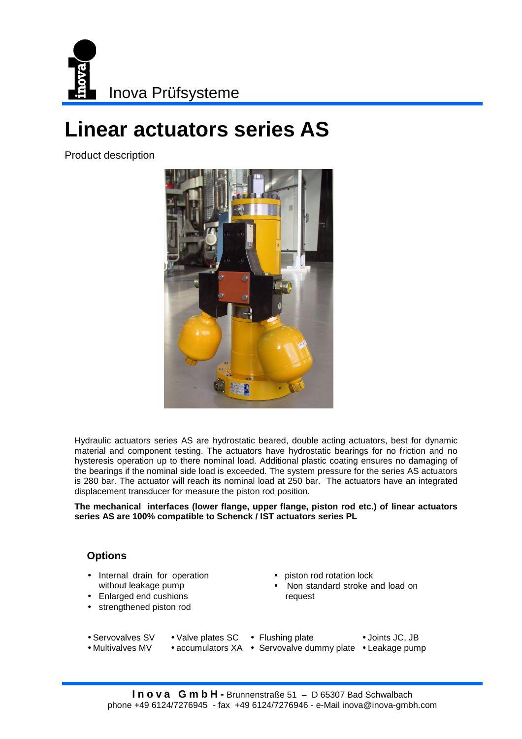

## **Linear actuators series AS**

Product description



Hydraulic actuators series AS are hydrostatic beared, double acting actuators, best for dynamic material and component testing. The actuators have hydrostatic bearings for no friction and no hysteresis operation up to there nominal load. Additional plastic coating ensures no damaging of the bearings if the nominal side load is exceeded. The system pressure for the series AS actuators is 280 bar. The actuator will reach its nominal load at 250 bar. The actuators have an integrated displacement transducer for measure the piston rod position.

**The mechanical interfaces (lower flange, upper flange, piston rod etc.) of linear actuators series AS are 100% compatible to Schenck / IST actuators series PL** 

## **Options**

- Internal drain for operation without leakage pump
- Enlarged end cushions
- strengthened piston rod
- piston rod rotation lock
- Non standard stroke and load on request
- Valve plates SC Flushing plate • Servovalves SV
- Joints JC, JB
- accumulators XA Servovalve dummy plate Leakage pump • Multivalves MV